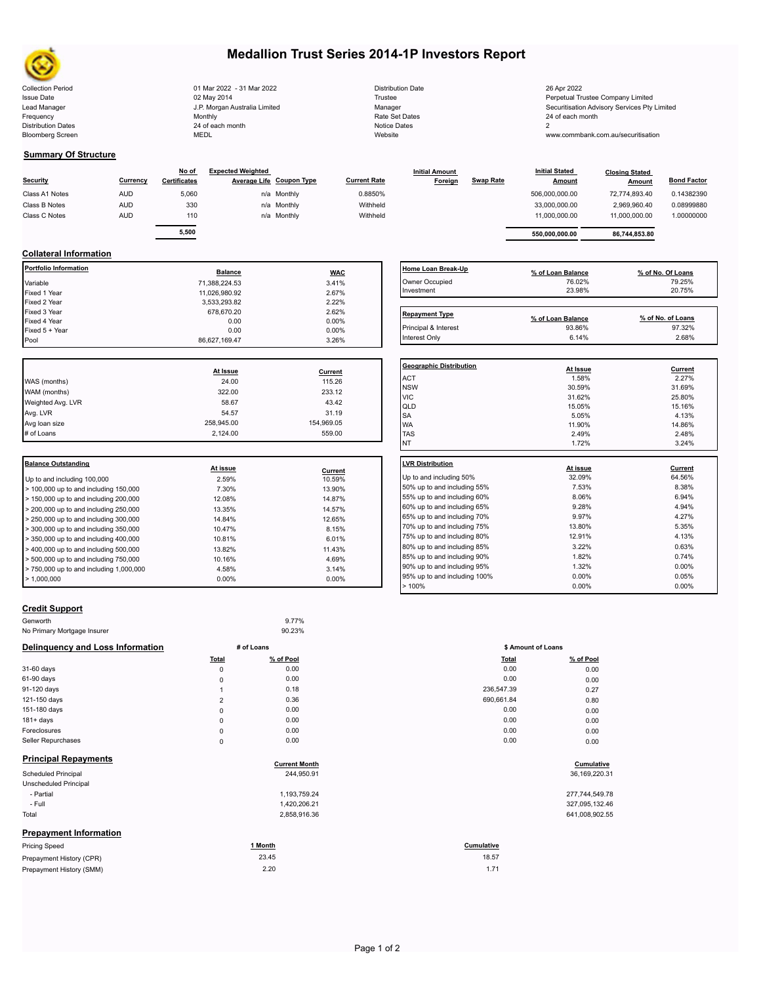

# **Medallion Trust Series 2014-1P Investors Report**

| <b>Collection Period</b>  | 01 Mar 2022 - 31 Mar 2022     | <b>Distribution Date</b> | 26 Apr 2022                                |
|---------------------------|-------------------------------|--------------------------|--------------------------------------------|
| <b>Issue Date</b>         | 02 May 2014                   | Trustee                  | Perpetual Trustee Company Limited          |
| Lead Manager              | J.P. Morgan Australia Limited | Manager                  | Securitisation Advisory Services Pty Limit |
| Frequency                 | Monthly                       | Rate Set Dates           | 24 of each month                           |
| <b>Distribution Dates</b> | 24 of each month              | Notice Dates             |                                            |
| <b>Bloomberg Screen</b>   | <b>MEDL</b>                   | Website                  | www.commbank.com.au/securitisation         |
|                           |                               |                          |                                            |

| <b>Distribution Date</b> |
|--------------------------|
| Trustee                  |
| Manager                  |
| Rate Set Dates           |
| Notice Dates             |
| Website                  |

#### **Summary Of Structure**

| <b>Security</b> | Currency   | No of<br><b>Certificates</b> | <b>Expected Weighted</b> | Average Life Coupon Type | <b>Current Rate</b> | <b>Initial Amount</b><br>Foreign | Swap Rate | <b>Initial Stated</b><br><b>Amount</b> | <b>Closing Stated</b><br>Amount | <b>Bond Factor</b> |  |
|-----------------|------------|------------------------------|--------------------------|--------------------------|---------------------|----------------------------------|-----------|----------------------------------------|---------------------------------|--------------------|--|
| Class A1 Notes  | <b>AUD</b> | 5,060                        |                          | n/a Monthly              | 0.8850%             |                                  |           | 506.000.000.00                         | 72.774.893.40                   | 0.14382390         |  |
| Class B Notes   | <b>AUD</b> | 330                          |                          | n/a Monthly              | Withheld            |                                  |           | 33,000,000.00                          | 2,969,960.40                    | 0.08999880         |  |
| Class C Notes   | <b>AUD</b> | 110                          |                          | n/a Monthly              | Withheld            |                                  |           | 11.000.000.00                          | 11,000,000.00                   | 1.00000000         |  |
|                 |            | 5,500                        |                          |                          |                     |                                  |           | 550.000.000.00                         | 86,744,853.80                   |                    |  |

## **Collateral Information**

| <b>Balance Outstanding</b>   | At issue       | Current    | <b>LVR Distribution</b><br>.            |
|------------------------------|----------------|------------|-----------------------------------------|
|                              |                |            | <b>NT</b>                               |
| # of Loans                   | 2,124.00       | 559.00     | <b>TAS</b>                              |
| Avg loan size                | 258,945.00     | 154,969.05 | <b>WA</b>                               |
| Avg. LVR                     | 54.57          | 31.19      | <b>SA</b>                               |
| Weighted Avg. LVR            | 58.67          | 43.42      | QLD                                     |
| WAM (months)                 | 322.00         | 233.12     | <b>VIC</b>                              |
| WAS (months)                 | 24.00          | 115.26     | <b>NSW</b>                              |
|                              | At Issue       | Current    | <b>Geographic Distril</b><br><b>ACT</b> |
|                              |                |            |                                         |
| Pool                         | 86,627,169.47  | 3.26%      | Interest Only                           |
| Fixed 5 + Year               | 0.00           | $0.00\%$   | Principal & Interest                    |
| Fixed 4 Year                 | 0.00           | $0.00\%$   |                                         |
| Fixed 3 Year                 | 678,670.20     | 2.62%      | <b>Repayment Type</b>                   |
| Fixed 2 Year                 | 3,533,293.82   | 2.22%      |                                         |
| Fixed 1 Year                 | 11,026,980.92  | 2.67%      | Investment                              |
| Variable                     | 71,388,224.53  | 3.41%      | Owner Occupied                          |
| <b>Portfolio Information</b> | <b>Balance</b> | <b>WAC</b> | Home Loan Break                         |

|                                           | <b>At ISSUE</b> | Current |                     |
|-------------------------------------------|-----------------|---------|---------------------|
| Up to and including 100,000               | 2.59%           | 10.59%  | Up to and including |
| $>$ 100,000 up to and including 150,000   | 7.30%           | 13.90%  | 50% up to and incl  |
| > 150,000 up to and including 200,000     | 12.08%          | 14.87%  | 55% up to and incl  |
| > 200,000 up to and including 250,000     | 13.35%          | 14.57%  | 60% up to and incl  |
| > 250,000 up to and including 300,000     | 14.84%          | 12.65%  | 65% up to and incl  |
| > 300,000 up to and including 350,000     | 10.47%          | 8.15%   | 70% up to and incl  |
| $>$ 350,000 up to and including 400,000   | 10.81%          | 6.01%   | 75% up to and incl  |
| > 400,000 up to and including 500,000     | 13.82%          | 11.43%  | 80% up to and incl  |
| $> 500,000$ up to and including $750,000$ | 10.16%          | 4.69%   | 85% up to and incl  |
| > 750,000 up to and including 1,000,000   | 4.58%           | 3.14%   | 90% up to and incl  |
| >1.000.000                                | $0.00\%$        | 0.00%   | 95% up to and incl  |
|                                           |                 |         | 1001                |

| Home Loan Break-Up    | % of Loan Balance           | % of No. Of Loans           |
|-----------------------|-----------------------------|-----------------------------|
| Owner Occupied        | 76.02%                      | 79.25%                      |
| Investment            | 23.98%                      | 20.75%                      |
|                       |                             |                             |
| <b>Repayment Type</b> |                             |                             |
| Principal & Interest  | % of Loan Balance<br>93.86% | % of No. of Loans<br>97.32% |

| Geographic Distribution |          |         |
|-------------------------|----------|---------|
|                         | At Issue | Current |
| <b>ACT</b>              | 1.58%    | 2.27%   |
| <b>NSW</b>              | 30.59%   | 31.69%  |
| <b>VIC</b>              | 31.62%   | 25.80%  |
| QLD                     | 15.05%   | 15.16%  |
| <b>SA</b>               | 5.05%    | 4.13%   |
| <b>WA</b>               | 11.90%   | 14.86%  |
| <b>TAS</b>              | 2.49%    | 2.48%   |
| <b>NT</b>               | 1.72%    | 3.24%   |

| <b>LVR Distribution</b>      | At issue | Current  |
|------------------------------|----------|----------|
| Up to and including 50%      | 32.09%   | 64.56%   |
| 50% up to and including 55%  | 7.53%    | 8.38%    |
| 55% up to and including 60%  | 8.06%    | 6.94%    |
| 60% up to and including 65%  | 9.28%    | 4.94%    |
| 65% up to and including 70%  | 9.97%    | 4.27%    |
| 70% up to and including 75%  | 13.80%   | 5.35%    |
| 75% up to and including 80%  | 12.91%   | 4.13%    |
| 80% up to and including 85%  | 3.22%    | 0.63%    |
| 85% up to and including 90%  | 1.82%    | 0.74%    |
| 90% up to and including 95%  | 1.32%    | $0.00\%$ |
| 95% up to and including 100% | $0.00\%$ | 0.05%    |
| >100%                        | $0.00\%$ | $0.00\%$ |
|                              |          |          |

## **Credit Support**

| Genworth                                |                | 9.77%                |              |                    |  |
|-----------------------------------------|----------------|----------------------|--------------|--------------------|--|
| No Primary Mortgage Insurer             |                | 90.23%               |              |                    |  |
| <b>Delinquency and Loss Information</b> | # of Loans     |                      |              | \$ Amount of Loans |  |
|                                         | Total          | % of Pool            | <b>Total</b> | % of Pool          |  |
| 31-60 days                              | 0              | 0.00                 | 0.00         | 0.00               |  |
| 61-90 days                              | 0              | 0.00                 | 0.00         | 0.00               |  |
| 91-120 days                             | 1              | 0.18                 | 236,547.39   | 0.27               |  |
| 121-150 days                            | $\overline{2}$ | 0.36                 | 690,661.84   | 0.80               |  |
| 151-180 days                            | 0              | 0.00                 | 0.00         | 0.00               |  |
| $181 + days$                            | 0              | 0.00                 | 0.00         | 0.00               |  |
| Foreclosures                            | 0              | 0.00                 | 0.00         | 0.00               |  |
| Seller Repurchases                      | 0              | 0.00                 | 0.00         | 0.00               |  |
| <b>Principal Repayments</b>             |                | <b>Current Month</b> |              | Cumulative         |  |
| Scheduled Principal                     |                | 244,950.91           |              | 36, 169, 220. 31   |  |
| Unscheduled Principal                   |                |                      |              |                    |  |
| - Partial                               |                | 1,193,759.24         |              | 277,744,549.78     |  |
| - Full                                  |                | 1,420,206.21         |              | 327,095,132.46     |  |
| Total                                   |                | 2,858,916.36         |              | 641,008,902.55     |  |
| <b>Prepayment Information</b>           |                |                      |              |                    |  |

| <b>Pricing Speed</b>     | l Month | Cumulative |  |
|--------------------------|---------|------------|--|
| Prepayment History (CPR) | 23.45   | 18.57      |  |
| Prepayment History (SMM) | 2.20    | 1.71       |  |